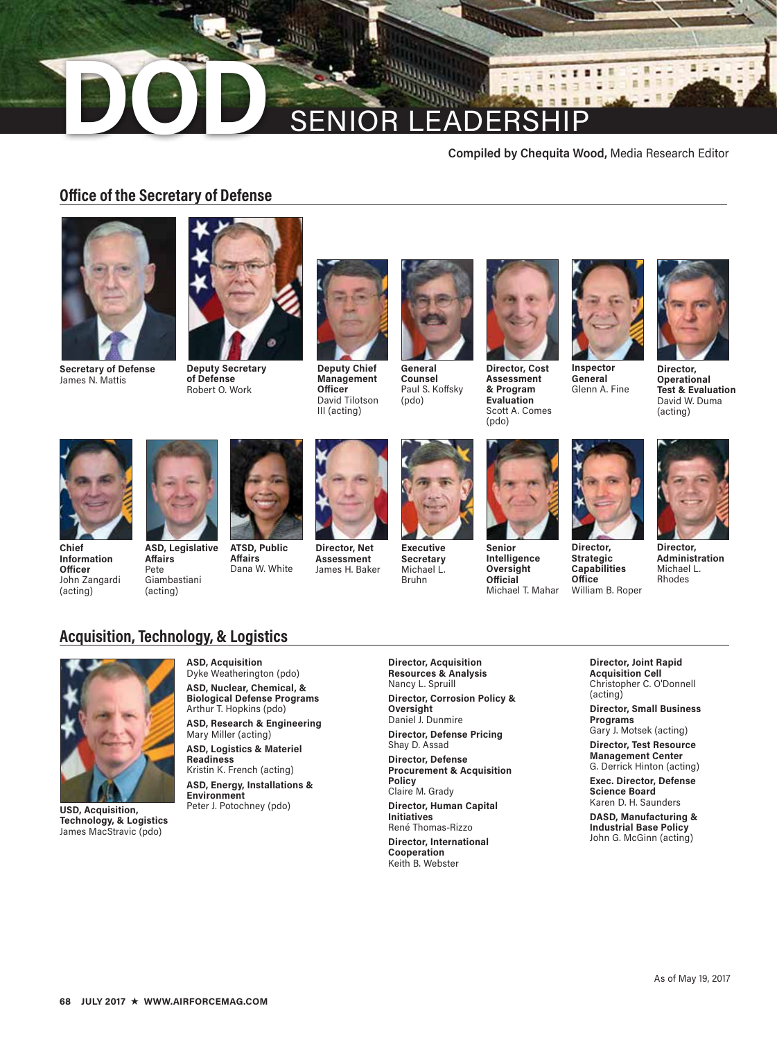# **DODD** SENIOR LEADERSHIP

#### **Compiled by Chequita Wood,** Media Research Editor

## **Office of the Secretary of Defense**



**Secretary of Defense**  James N. Mattis



**Deputy Secretary of Defense** Robert O. Work



**Deputy Chief Management Officer** David Tilotson III (acting)



**Counsel** Paul S. Koffsky (pdo)



**Assessment & Program Evaluation** Scott A. Comes (pdo)



**General** Glenn A. Fine

**Director, Strategic Capabilities Office** William B. Roper



в

**Director, Operational Test & Evaluation** David W. Duma (acting)



**Chief Information Officer**  John Zangardi (acting)



**Affairs** Pete Giambastiani (acting)



**Affairs**

**ATSD, Public**  Dana W. White



**Director, Net Assessment** James H. Baker



**Executive Secretary** Michael L. Bruhn



**Senior Intelligence Oversight Official** Michael T. Mahar



**Director, Administration** Michael L. Rhodes

# **Acquisition, Technology, & Logistics**



**USD, Acquisition, Technology, & Logistics** James MacStravic (pdo)

**ASD, Acquisition** Dyke Weatherington (pdo) **ASD, Nuclear, Chemical, &** 

**Biological Defense Programs** Arthur T. Hopkins (pdo)

**ASD, Research & Engineering** Mary Miller (acting)

**ASD, Logistics & Materiel Readiness** Kristin K. French (acting)

**ASD, Energy, Installations & Environment** Peter J. Potochney (pdo)

**Director, Acquisition Resources & Analysis** Nancy L. Spruill **Director, Corrosion Policy &** 

**Oversight** Daniel J. Dunmire

**Director, Defense Pricing** Shay D. Assad **Director, Defense Procurement & Acquisition** 

**Policy** Claire M. Grady

**Director, Human Capital Initiatives** René Thomas-Rizzo

**Director, International Cooperation** Keith B. Webster

**Director, Joint Rapid Acquisition Cell** Christopher C. O'Donnell (acting)

**Director, Small Business Programs**

Gary J. Motsek (acting) **Director, Test Resource** 

**Management Center** G. Derrick Hinton (acting)

**Exec. Director, Defense Science Board** Karen D. H. Saunders

**DASD, Manufacturing & Industrial Base Policy** John G. McGinn (acting)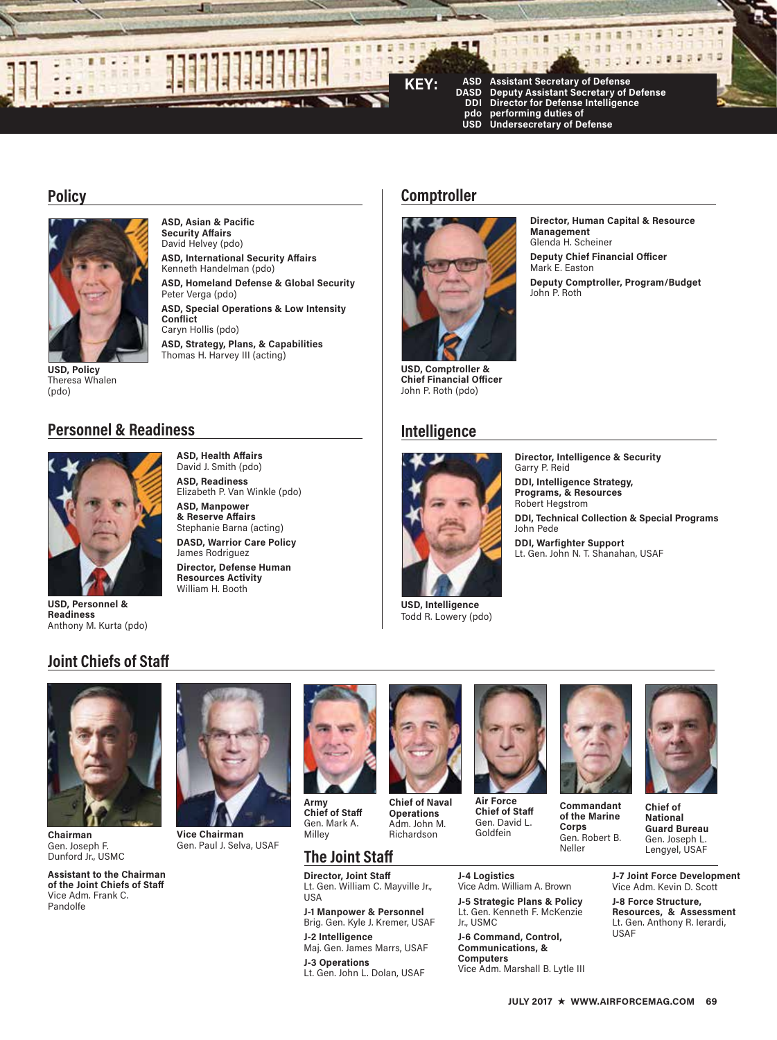

### **Policy**



**USD, Policy** Theresa Whalen

**ASD, Asian & Pacific Security Affairs** David Helvey (pdo) **ASD, International Security Affairs** Kenneth Handelman (pdo)

**ASD, Homeland Defense & Global Security**  Peter Verga (pdo)

**ASD, Special Operations & Low Intensity Conflict** Caryn Hollis (pdo)

**ASD, Strategy, Plans, & Capabilities** Thomas H. Harvey III (acting)

# **Comptroller**



**USD, Comptroller & Chief Financial Officer**  John P. Roth (pdo)

# **Intelligence**



**USD, Intelligence** Todd R. Lowery (pdo)

**Director, Human Capital & Resource Management** Glenda H. Scheiner **Deputy Chief Financial Officer** Mark E. Easton **Deputy Comptroller, Program/Budget** John P. Roth

# (pdo)

# **Personnel & Readiness**



**USD, Personnel & Readiness** Anthony M. Kurta (pdo)

#### **ASD, Health Affairs** David J. Smith (pdo) **ASD, Readiness**

Elizabeth P. Van Winkle (pdo) **ASD, Manpower** 

**& Reserve Affairs** Stephanie Barna (acting) **DASD, Warrior Care Policy** James Rodriguez **Director, Defense Human Resources Activity** William H. Booth



**Director, Intelligence & Security** Garry P. Reid **DDI, Intelligence Strategy, Programs, & Resources**  Robert Hegstrom **DDI, Technical Collection & Special Programs**  John Pede **DDI, Warfighter Support** Lt. Gen. John N. T. Shanahan, USAF

# **Joint Chiefs of Staff**



**Chairman** Gen. Joseph F. Dunford Jr., USMC

**Assistant to the Chairman of the Joint Chiefs of Staff** Vice Adm. Frank C. Pandolfe



**Vice Chairman** Gen. Paul J. Selva, USAF



**Operations** Adm. John M. Richardson

**Army Chief of Staff** Gen. Mark A.

# **The Joint Staff**

**Director, Joint Staff** Lt. Gen. William C. Mayville Jr., USA

**J-1 Manpower & Personnel** Brig. Gen. Kyle J. Kremer, USAF **J-2 Intelligence** Maj. Gen. James Marrs, USAF

**J-3 Operations**  Lt. Gen. John L. Dolan, USAF



**Chief of Staff** Gen. David L. Goldfein

Vice Adm. William A. Brown **J-5 Strategic Plans & Policy** Lt. Gen. Kenneth F. McKenzie

**J-6 Command, Control, Communications, & Computers** 

Vice Adm. Marshall B. Lytle III

**J-4 Logistics**

Jr., USMC



**of the Marine Corps** Gen. Robert B. Neller

**Chief of National Guard Bureau** Gen. Joseph L. Lengyel, USAF

**J-7 Joint Force Development** Vice Adm. Kevin D. Scott **J-8 Force Structure, Resources, & Assessment** Lt. Gen. Anthony R. Ierardi, USAF